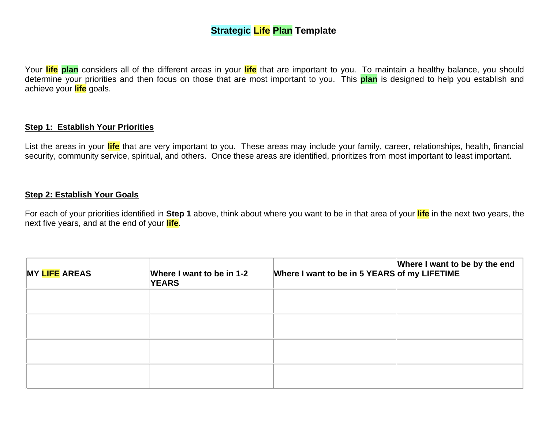## **Strategic Life Plan Template**

Your **life plan** considers all of the different areas in your **life** that are important to you. To maintain a healthy balance, you should determine your priorities and then focus on those that are most important to you. This **plan** is designed to help you establish and achieve your **life** goals.

#### **Step 1: Establish Your Priorities**

List the areas in your **life** that are very important to you. These areas may include your family, career, relationships, health, financial security, community service, spiritual, and others. Once these areas are identified, prioritizes from most important to least important.

#### **Step 2: Establish Your Goals**

For each of your priorities identified in **Step 1** above, think about where you want to be in that area of your **life** in the next two years, the next five years, and at the end of your **life**.

| <b>MY LIFE AREAS</b> | Where I want to be in 1-2<br><b>YEARS</b> | Where I want to be in 5 YEARS of my LIFETIME | Where I want to be by the end $\vert$ |
|----------------------|-------------------------------------------|----------------------------------------------|---------------------------------------|
|                      |                                           |                                              |                                       |
|                      |                                           |                                              |                                       |
|                      |                                           |                                              |                                       |
|                      |                                           |                                              |                                       |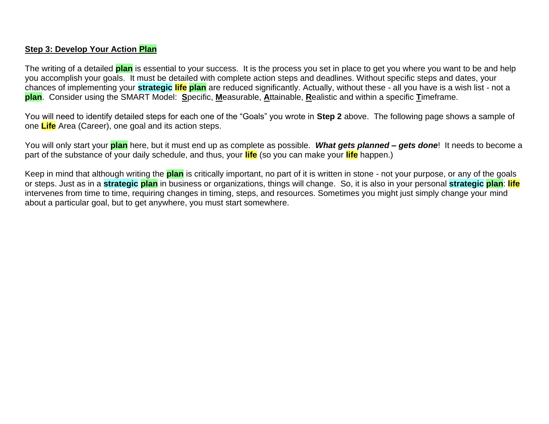### **Step 3: Develop Your Action Plan**

The writing of a detailed **plan** is essential to your success. It is the process you set in place to get you where you want to be and help you accomplish your goals. It must be detailed with complete action steps and deadlines. Without specific steps and dates, your chances of implementing your **strategic life plan** are reduced significantly. Actually, without these - all you have is a wish list - not a **plan**. Consider using the SMART Model: **S**pecific, **M**easurable, **A**ttainable, **R**ealistic and within a specific **T**imeframe.

You will need to identify detailed steps for each one of the "Goals" you wrote in **Step 2** above. The following page shows a sample of one **Life** Area (Career), one goal and its action steps.

You will only start your **plan** here, but it must end up as complete as possible. *What gets planned – gets done*! It needs to become a part of the substance of your daily schedule, and thus, your **life** (so you can make your **life** happen.)

Keep in mind that although writing the **plan** is critically important, no part of it is written in stone - not your purpose, or any of the goals or steps. Just as in a **strategic plan** in business or organizations, things will change. So, it is also in your personal **strategic plan**: **life** intervenes from time to time, requiring changes in timing, steps, and resources. Sometimes you might just simply change your mind about a particular goal, but to get anywhere, you must start somewhere.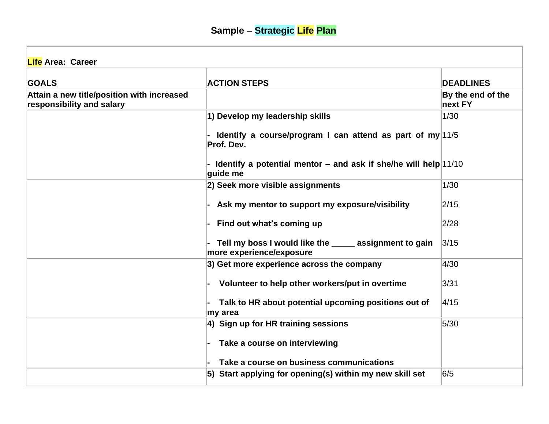| <b>Life Area: Career</b>                                                |                                                                                    |                              |
|-------------------------------------------------------------------------|------------------------------------------------------------------------------------|------------------------------|
| <b>GOALS</b>                                                            | <b>ACTION STEPS</b>                                                                | <b>DEADLINES</b>             |
| Attain a new title/position with increased<br>responsibility and salary |                                                                                    | By the end of the<br>next FY |
|                                                                         | 1) Develop my leadership skills                                                    | 1/30                         |
|                                                                         | Identify a course/program I can attend as part of my $ 11/5 $<br>Prof. Dev.        |                              |
|                                                                         | - Identify a potential mentor $-$ and ask if she/he will help 11/10<br>guide me    |                              |
|                                                                         | 2) Seek more visible assignments                                                   | 1/30                         |
|                                                                         | Ask my mentor to support my exposure/visibility                                    | 2/15                         |
|                                                                         | Find out what's coming up                                                          | 2/28                         |
|                                                                         | Tell my boss I would like the _____ assignment to gain<br>more experience/exposure | 3/15                         |
|                                                                         | 3) Get more experience across the company                                          | 4/30                         |
|                                                                         | Volunteer to help other workers/put in overtime                                    | 3/31                         |
|                                                                         | Talk to HR about potential upcoming positions out of<br>my area                    | 4/15                         |
|                                                                         | 4) Sign up for HR training sessions                                                | 5/30                         |
|                                                                         | Take a course on interviewing                                                      |                              |
|                                                                         | Take a course on business communications                                           |                              |
|                                                                         | 5) Start applying for opening(s) within my new skill set                           | 6/5                          |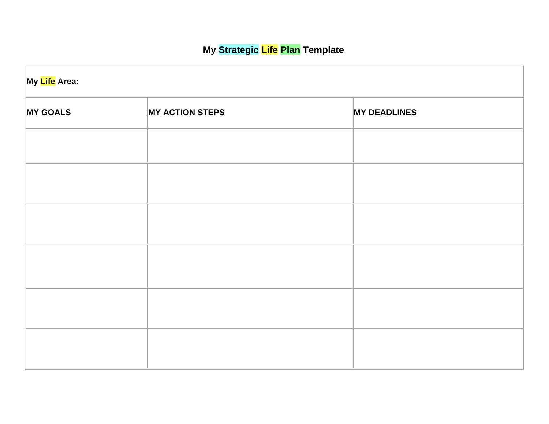# **My Strategic Life Plan Template**

| My Life Area:   |                        |                     |  |  |
|-----------------|------------------------|---------------------|--|--|
| <b>MY GOALS</b> | <b>MY ACTION STEPS</b> | <b>MY DEADLINES</b> |  |  |
|                 |                        |                     |  |  |
|                 |                        |                     |  |  |
|                 |                        |                     |  |  |
|                 |                        |                     |  |  |
|                 |                        |                     |  |  |
|                 |                        |                     |  |  |